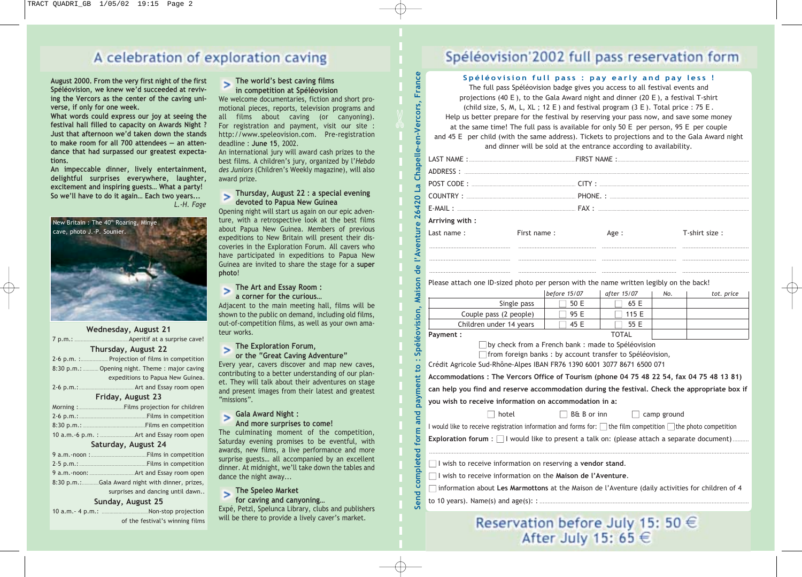## A celebration of exploration caving



| August 2000. From the very first night of the first | The world's best caving films                        |                                                                                                              |
|-----------------------------------------------------|------------------------------------------------------|--------------------------------------------------------------------------------------------------------------|
| Spéléovision, we knew we'd succeeded at reviv-      | in competition at Spéléovision                       |                                                                                                              |
| ing the Vercors as the center of the caving uni-    | We welcome documentaries, fiction and short pro-     |                                                                                                              |
| verse, if only for one week.                        | motional pieces, reports, television programs and    |                                                                                                              |
| What words could express our joy at seeing the      | all films about caving (or canyoning).               |                                                                                                              |
| festival hall filled to capacity on Awards Night ?  | For registration and payment, visit our site :       |                                                                                                              |
| Just that afternoon we'd taken down the stands      | http://www.speleovision.com. Pre-registration        |                                                                                                              |
| to make room for all 700 attendees - an atten-      | deadline: June 15, 2002.                             |                                                                                                              |
| dance that had surpassed our greatest expecta-      | An international jury will award cash prizes to the  |                                                                                                              |
| tions.                                              | best films. A children's jury, organized by l'Hebdo  |                                                                                                              |
| An impeccable dinner, lively entertainment,         | des Juniors (Children's Weekly magazine), will also  |                                                                                                              |
| delightful surprises everywhere, laughter,          | award prize.                                         |                                                                                                              |
| excitement and inspiring guests What a party!       |                                                      |                                                                                                              |
| So we'll have to do it again Each two years         | Thursday, August 22 : a special evening              |                                                                                                              |
| L.-H. Fage                                          | devoted to Papua New Guinea                          |                                                                                                              |
|                                                     | Opening night will start us again on our epic adven- |                                                                                                              |
| New Britain : The 40 <sup>th</sup> Roaring, Minye   | ture, with a retrospective look at the best films    |                                                                                                              |
| cave, photo J.-P. Sounier.                          | about Papua New Guinea. Members of previous          |                                                                                                              |
|                                                     | expeditions to New Britain will present their dis-   |                                                                                                              |
|                                                     | coveries in the Exploration Forum. All cavers who    |                                                                                                              |
|                                                     | have participated in expeditions to Papua New        |                                                                                                              |
|                                                     | Guinea are invited to share the stage for a super    |                                                                                                              |
|                                                     | photo!                                               |                                                                                                              |
|                                                     | The Art and Essay Room :                             |                                                                                                              |
|                                                     | a corner for the curious                             |                                                                                                              |
|                                                     | Adjacent to the main meeting hall, films will be     |                                                                                                              |
|                                                     | shown to the public on demand, including old films,  |                                                                                                              |
|                                                     | out-of-competition films, as well as your own ama-   |                                                                                                              |
| Wednesday, August 21                                | teur works.                                          |                                                                                                              |
|                                                     |                                                      |                                                                                                              |
| Thursday, August 22                                 | The Exploration Forum,                               |                                                                                                              |
| 2-6 p.m. :  Projection of films in competition      | or the "Great Caving Adventure"                      |                                                                                                              |
| 8:30 p.m.:  Opening night. Theme : major caving     | Every year, cavers discover and map new caves,       |                                                                                                              |
| expeditions to Papua New Guinea.                    | contributing to a better understanding of our plan-  |                                                                                                              |
|                                                     | et. They will talk about their adventures on stage   |                                                                                                              |
| Friday, August 23                                   | and present images from their latest and greatest    |                                                                                                              |
|                                                     | "missions".                                          |                                                                                                              |
|                                                     | Gala Award Night :                                   |                                                                                                              |
|                                                     | And more surprises to come!                          |                                                                                                              |
|                                                     | The culminating moment of the competition,           |                                                                                                              |
|                                                     | Saturday evening promises to be eventful, with       |                                                                                                              |
| Saturday, August 24                                 | awards, new films, a live performance and more       |                                                                                                              |
|                                                     | surprise guests all accompanied by an excellent      |                                                                                                              |
|                                                     | dinner. At midnight, we'll take down the tables and  |                                                                                                              |
|                                                     | dance the night away                                 |                                                                                                              |
| 8:30 p.m.: Gala Award night with dinner, prizes,    |                                                      |                                                                                                              |
| surprises and dancing until dawn                    | The Speleo Market                                    | Send completed form and payment to : Spéléovision, Maison de l'Aventure 26420 La Chapelle-en-Vercors, France |
| Sunday, August 25                                   | for caving and canyoning                             |                                                                                                              |
|                                                     | Expé, Petzl, Spelunca Library, clubs and publishers  |                                                                                                              |

of the festival's winning films

#### **The world's best caving films in competition at Spéléovision**

#### **Thursday, August 22 : a special evening devoted to Papua New Guinea**

#### **The Exploration Forum,**

### **Gala Award Night :**

#### **The Speleo Market**

Expé, Petzl, Spelunca Library, clubs and publishers will be there to provide a lively caver's market.

## Spéléovision'2002 full pass reservation form

#### **Spéléovision full pass : pay early and pay less !**

The full pass Spéléovision badge gives you access to all festival events and projections (40 E), to the Gala Award night and dinner (20 E), a festival T-shirt (child size, S, M, L, XL; 12 E) and festival program  $(3 E)$ . Total price : 75 E. Help us better prepare for the festival by reserving your pass now, and save some money

at the same time! The full pass is available for only 50 E per person, 95 E per couple and 45 E per child (with the same address). Tickets to projections and to the Gala Award night

and dinner will be sold at the entrance according to availability.

| Arriving with: |             |       |               |
|----------------|-------------|-------|---------------|
| Last name:     | First name: | Age : | T-shirt size: |
|                |             |       |               |
|                |             |       |               |

Please attach one ID-sized photo per person with the name written legibly on the back!

|                         | before 15/07 | after 15/07  | No. | tot. price |
|-------------------------|--------------|--------------|-----|------------|
| Single pass             | 50 F         | 65 F         |     |            |
| Couple pass (2 people)  | 95 F         | 115 $F$      |     |            |
| Children under 14 years | 45 F         | 55 F         |     |            |
| Pavment :               |              | <b>TOTAL</b> |     |            |

.................................................. ................................................ .............................................. .........................................

 $\Box$  by check from a French bank : made to Spéléovision

 $\Box$  from foreign banks : by account transfer to Spéléovision,

Crédit Agricole Sud-Rhône-Alpes IBAN FR76 1390 6001 3077 8671 6500 071

**Accommodations : The Vercors Office of Tourism (phone 04 75 48 22 54, fax 04 75 48 13 81)**

**can help you find and reserve accommodation during the festival. Check the appropriate box if**

**you wish to receive information on accommodation in a:** ■ hotel

 $\Box$  B& B or inn  $\Box$  camp ground

I would like to receive registration information and forms for:  $\Box$  the film competition  $\Box$  the photo competition

**Exploration forum** :  $\Box$  I would like to present a talk on: (please attach a separate document).

□ I wish to receive information on reserving a vendor stand.

■ I wish to receive information on the **Maison de l'Aventure**.

| $\Box$ information about Les Marmottons at the Maison de l'Aventure (daily activities for children of 4 |  |
|---------------------------------------------------------------------------------------------------------|--|
|                                                                                                         |  |

## Reservation before July 15: 50  $\in$ After July 15: 65 €